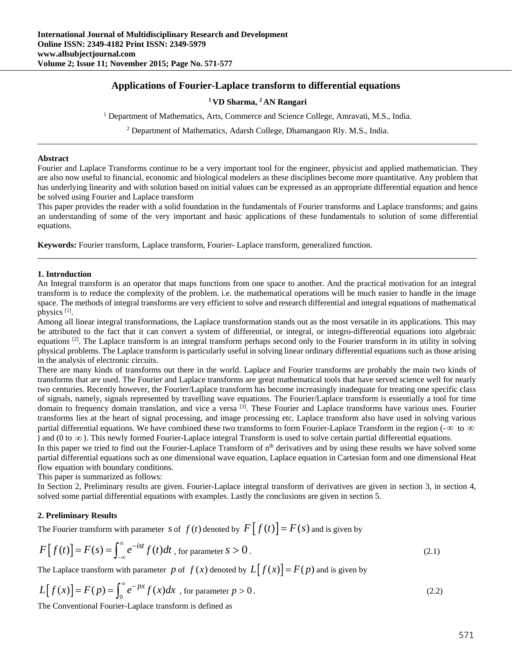## **Applications of Fourier-Laplace transform to differential equations**

## **1 VD Sharma, 2 AN Rangari**

<sup>1</sup> Department of Mathematics, Arts, Commerce and Science College, Amravati, M.S., India.

<sup>2</sup> Department of Mathematics, Adarsh College, Dhamangaon Rly. M.S., India.

#### **Abstract**

Fourier and Laplace Transforms continue to be a very important tool for the engineer, physicist and applied mathematician. They are also now useful to financial, economic and biological modelers as these disciplines become more quantitative. Any problem that has underlying linearity and with solution based on initial values can be expressed as an appropriate differential equation and hence be solved using Fourier and Laplace transform

This paper provides the reader with a solid foundation in the fundamentals of Fourier transforms and Laplace transforms; and gains an understanding of some of the very important and basic applications of these fundamentals to solution of some differential equations.

**Keywords:** Fourier transform, Laplace transform, Fourier- Laplace transform, generalized function.

### **1. Introduction**

An Integral transform is an operator that maps functions from one space to another. And the practical motivation for an integral transform is to reduce the complexity of the problem. i.e. the mathematical operations will be much easier to handle in the image space. The methods of integral transforms are very efficient to solve and research differential and integral equations of mathematical physics [1].

Among all linear integral transformations, the Laplace transformation stands out as the most versatile in its applications. This may be attributed to the fact that it can convert a system of differential, or integral, or integro-differential equations into algebraic equations  $[2]$ . The Laplace transform is an integral transform perhaps second only to the Fourier transform in its utility in solving physical problems. The Laplace transform is particularly useful in solving linear ordinary differential equations such as those arising in the analysis of electronic circuits.

There are many kinds of transforms out there in the world. Laplace and Fourier transforms are probably the main two kinds of transforms that are used. The Fourier and Laplace transforms are great mathematical tools that have served science well for nearly two centuries. Recently however, the Fourier/Laplace transform has become increasingly inadequate for treating one specific class of signals, namely, signals represented by travelling wave equations. The Fourier/Laplace transform is essentially a tool for time domain to frequency domain translation, and vice a versa <sup>[3]</sup>. These Fourier and Laplace transforms have various uses. Fourier transforms lies at the heart of signal processing, and image processing etc. Laplace transform also have used in solving various partial differential equations. We have combined these two transforms to form Fourier-Laplace Transform in the region ( $-\infty$  to  $\infty$ ) ) and (0 to  $\infty$ ). This newly formed Fourier-Laplace integral Transform is used to solve certain partial differential equations.

In this paper we tried to find out the Fourier-Laplace Transform of  $n<sup>th</sup>$  derivatives and by using these results we have solved some partial differential equations such as one dimensional wave equation, Laplace equation in Cartesian form and one dimensional Heat flow equation with boundary conditions.

This paper is summarized as follows:

In Section 2, Preliminary results are given. Fourier-Laplace integral transform of derivatives are given in section 3, in section 4, solved some partial differential equations with examples. Lastly the conclusions are given in section 5.

### **2. Preliminary Results**

The Fourier transform with parameter *s* of  $f(t)$  denoted by  $F[f(t)] = F(s)$  and is given by

$$
F[f(t)] = F(s) = \int_{-\infty}^{\infty} e^{-ist} f(t) dt
$$
, for parameter  $s > 0$ . (2.1)

The Laplace transform with parameter *p* of  $f(x)$  denoted by  $L[f(x)] = F(p)$  and is given by

$$
L[f(x)] = F(p) = \int_0^\infty e^{-px} f(x) dx
$$
, for parameter  $p > 0$ . (2.2)

The Conventional Fourier-Laplace transform is defined as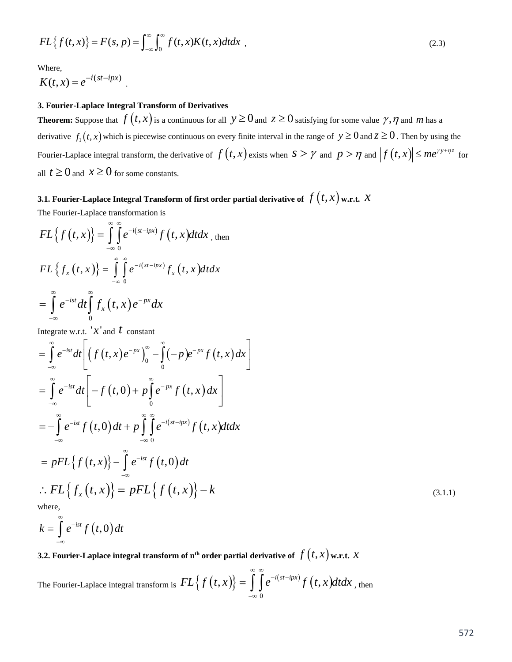$$
FL{f(t, x)} = F(s, p) = \int_{-\infty}^{\infty} \int_{0}^{\infty} f(t, x) K(t, x) dt dx
$$
 (2.3)

Where,

$$
K(t,x) = e^{-i(st - ipx)}.
$$

## **3. Fourier-Laplace Integral Transform of Derivatives**

**Theorem:** Suppose that  $f(t, x)$  is a continuous for all  $y \ge 0$  and  $z \ge 0$  satisfying for some value  $\gamma$ ,  $\eta$  and  $m$  has a derivative  $f_1(t, x)$  which is piecewise continuous on every finite interval in the range of  $y \ge 0$  and  $z \ge 0$ . Then by using the Fourier-Laplace integral transform, the derivative of  $f(t, x)$  exists when  $s > \gamma$  and  $p > \eta$  and  $|f(t, x)| \le me^{\gamma y + \eta z}$  for all  $t \ge 0$  and  $x \ge 0$  for some constants.

# **3.1. Fourier-Laplace Integral Transform of first order partial derivative of**  $f\left(t,x\right)$  **w.r.t.**  $\mathcal{X}$

The Fourier-Laplace transformation is

$$
FL{f(t,x)} = \int_{-\infty}^{\infty} \int_{0}^{\infty} e^{-i(st-ipx)} f(t,x) dt dx
$$
, then  

$$
FL{f_x(t,x)} = \int_{-\infty}^{\infty} \int_{0}^{\infty} e^{-i(st-ipx)} f_x(t,x) dt dx
$$

$$
= \int_{-\infty}^{\infty} e^{-ist} dt \int_{0}^{\infty} f_x(t,x) e^{-px} dx
$$

Integrate w.r.t.  $x'$  and  $t$  constant

$$
= \int_{-\infty}^{\infty} e^{-ist} dt \left[ \left( f(t, x) e^{-px} \right)_{0}^{\infty} - \int_{0}^{\infty} (-p) e^{-px} f(t, x) dx \right]
$$
  
\n
$$
= \int_{-\infty}^{\infty} e^{-ist} dt \left[ -f(t, 0) + p \int_{0}^{\infty} e^{-px} f(t, x) dx \right]
$$
  
\n
$$
= -\int_{-\infty}^{\infty} e^{-ist} f(t, 0) dt + p \int_{-\infty}^{\infty} \int_{0}^{\infty} e^{-i(s - ipx)} f(t, x) dt dx
$$
  
\n
$$
= pFL \left\{ f(t, x) \right\} - \int_{-\infty}^{\infty} e^{-ist} f(t, 0) dt
$$
  
\n
$$
\therefore FL \left\{ f_x(t, x) \right\} = pFL \left\{ f(t, x) \right\} - k
$$
  
\nwhere, (3.1.1)

$$
k=\int\limits_{-\infty}^{\infty}e^{-ist}f\left(t,0\right)dt
$$

**3.2. Fourier-Laplace integral transform of n<sup>th</sup> order partial derivative of**  $f(t, x)$  **w.r.t.**  $x$ 

The Fourier-Laplace integral transform is  $FL\big\{f(t,x)\big\} = \int \int e^{-i(st-ipx)} f\big(t,x\big)$ 0  $FL{f(t,x)} = \int e^{-i(st-ipx)} f(t,x) dt dx$ ∞ ∞  $-i(st =\int_{-\infty}^{\infty}\int_{0}^{e^{-i(st-ipx)}}f(t,x)dtdx$ , then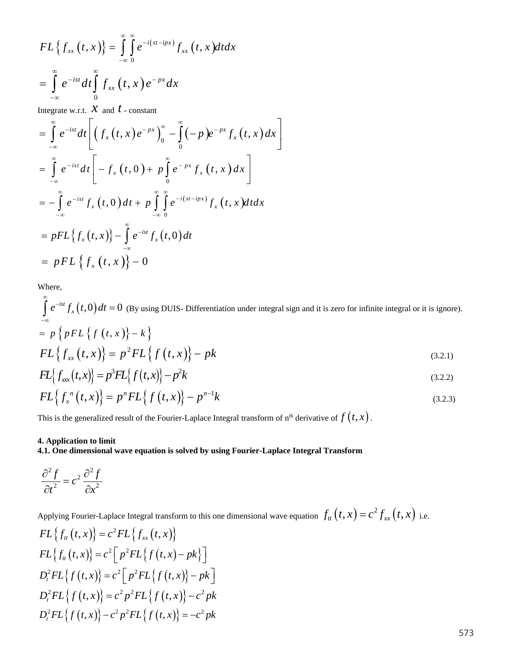$$
FL\left\{f_{xx}(t,x)\right\} = \int_{-\infty}^{\infty} \int_{0}^{\infty} e^{-i(st - ipx)} f_{xx}(t,x) dt dx
$$

$$
= \int_{-\infty}^{\infty} e^{-ist} dt \int_{0}^{\infty} f_{xx}(t,x) e^{-px} dx
$$

Integrate w.r.t.  $X$  and  $t$  - constant

$$
= \int_{-\infty}^{\infty} e^{-ist} dt \left[ \left( f_x(t, x) e^{-px} \right)_0^{\infty} - \int_{0}^{\infty} (-p) e^{-px} f_x(t, x) dx \right]
$$
  
\n
$$
= \int_{-\infty}^{\infty} e^{-ist} dt \left[ -f_x(t, 0) + p \int_{0}^{\infty} e^{-px} f_x(t, x) dx \right]
$$
  
\n
$$
= -\int_{-\infty}^{\infty} e^{-ist} f_x(t, 0) dt + p \int_{-\infty}^{\infty} \int_{0}^{\infty} e^{-i(st - ipx)} f_x(t, x) dt dx
$$
  
\n
$$
= pFL \left\{ f_x(t, x) \right\} - \int_{-\infty}^{\infty} e^{-ist} f_x(t, 0) dt
$$
  
\n
$$
= pFL \left\{ f_x(t, x) \right\} - 0
$$

Where,

 $e^{-ist} f_{x}(t,0) dt = 0$ ∞ - $\int_{-\infty}^{\infty} e^{-ist} f_x(t,0) dt = 0$  (By using DUIS- Differentiation under integral sign and it is zero for infinite integral or it is ignore).  $= p \left\{ pFL \left\{ f(t, x) \right\} - k \right\}$  $FL{f_{xx}(t, x)} = p^2 FL{f(t, x)} - pk$  (3.2.1)  $FL\{f_{xx}(t,x)\} = p^3 FL\{f(t,x)\} - p^2k$  (3.2.2)

$$
FL\{f_x^{n}(t,x)\} = p^{n}FL\{f(t,x)\} - p^{n-1}k
$$
\n(3.2.3)

This is the generalized result of the Fourier-Laplace Integral transform of  $n<sup>th</sup>$  derivative of  $f(t, x)$ .

## **4. Application to limit**

## **4.1. One dimensional wave equation is solved by using Fourier-Laplace Integral Transform**

$$
\frac{\partial^2 f}{\partial t^2} = c^2 \frac{\partial^2 f}{\partial x^2}
$$

Applying Fourier-Laplace Integral transform to this one dimensional wave equation  $f_{tt}(t, x) = c^2 f_{xx}(t, x)$  i.e.

$$
FL{fu(t, x)} = c2FL{fxx(t, x)}
$$
  
\n
$$
FL{fu(t, x)} = c2 [p2FL{f(t, x) - pk}]
$$
  
\n
$$
Dt2FL{f(t, x)} = c2 [p2FL{f(t, x)} - pk]
$$
  
\n
$$
Dt2FL{f(t, x)} = c2 p2FL{f(t, x)} - c2 pk
$$
  
\n
$$
Dt2FL{f(t, x)} - c2 p2FL{f(t, x)} = -c2 pk
$$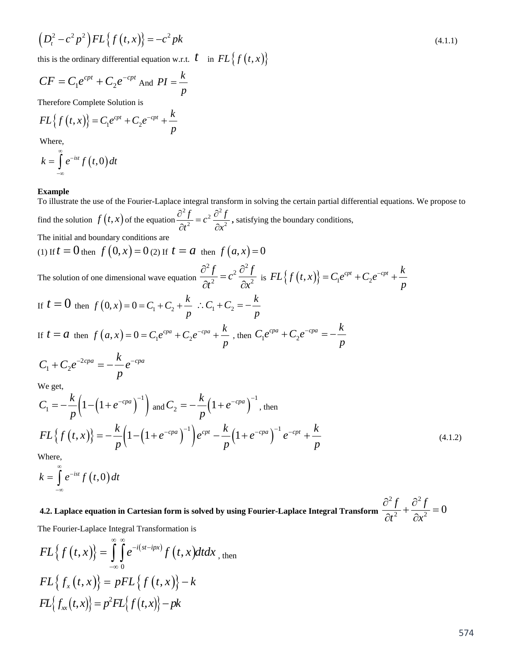$$
\left(D_t^2 - c^2 p^2\right) FL\left\{f\left(t, x\right)\right\} = -c^2 pk \tag{4.1.1}
$$

this is the ordinary differential equation w.r.t.  $t \text{ in } FL\{f(t,x)\}\}$ 

$$
CF = C_1 e^{cpt} + C_2 e^{-cpt} \text{ And } PI = \frac{k}{p}
$$

Therefore Complete Solution is

$$
FL{f(t,x)} = C_1 e^{cpt} + C_2 e^{-cpt} + \frac{k}{p}
$$

Where,

$$
k=\int\limits_{-\infty}^{\infty}e^{-ist}f\left(t,0\right)dt
$$

#### **Example**

To illustrate the use of the Fourier-Laplace integral transform in solving the certain partial differential equations. We propose to find the solution  $f(t, x)$  of the equation  $\frac{\partial^2 f}{\partial x^2} = c^2 \frac{\partial^2 f}{\partial x^2}$ 

 $\frac{f}{2} = c^2 \frac{\partial^2 f}{\partial x^2}$  $\frac{\partial^2 f}{\partial t^2} = c^2 \frac{\partial^2 f}{\partial x^2}$ , satisfying the boundary conditions,

The initial and boundary conditions are

(1) If 
$$
t = 0
$$
 then  $f(0, x) = 0$  (2) If  $t = a$  then  $f(a, x) = 0$ 

The solution of one dimensional wave equation 2  $\epsilon$  2<sup>2</sup> 2  $\frac{f}{2} = c^2 \frac{\partial^2 f}{\partial x^2}$  $\frac{\partial^2 f}{\partial t^2} = c^2 \frac{\partial^2 f}{\partial x^2}$  is  $FL\{f(t,x)\} = C_1 e^{cpt} + C_2 e^{-cpt} + \frac{k}{p}$  $=C_1e^{cpt}+C_2e^{-cpt}+$ 

If 
$$
t = 0
$$
 then  $f(0, x) = 0 = C_1 + C_2 + \frac{k}{p}$   $\therefore C_1 + C_2 = -\frac{k}{p}$   
If  $t = a$  then  $f(a, x) = 0 = C_1 e^{cpa} + C_2 e^{-cpa} + \frac{k}{p}$ , then  $C_1 e^{cpa} + C_2 e^{-cpa} = -\frac{k}{p}$ 

$$
C_1 + C_2 e^{-2cpa} = -\frac{k}{p} e^{-cpa}
$$

We get,

$$
C_1 = -\frac{k}{p} \left( 1 - \left( 1 + e^{-cpa} \right)^{-1} \right) \text{ and } C_2 = -\frac{k}{p} \left( 1 + e^{-cpa} \right)^{-1}, \text{ then}
$$
  
\n
$$
FL\left\{ f(t, x) \right\} = -\frac{k}{p} \left( 1 - \left( 1 + e^{-cpa} \right)^{-1} \right) e^{cpt} - \frac{k}{p} \left( 1 + e^{-cpa} \right)^{-1} e^{-cpt} + \frac{k}{p}
$$
 (4.1.2)

Where,

$$
k=\int\limits_{-\infty}^{\infty}e^{-ist}f\left(t,0\right)dt
$$

**4.2. Laplace equation in Cartesian form is solved by using Fourier-Laplace Integral Transform**   $\frac{\partial^2 f}{\partial t^2} + \frac{\partial^2 f}{\partial x^2} = 0$  $\partial^2 f$  ,  $\partial$  $+\frac{0}{2}$  =  $\partial t^2 = \partial$ 

The Fourier-Laplace Integral Transformation is

$$
FL{f(t,x)} = \int_{-\infty}^{\infty} \int_{0}^{\infty} e^{-i(st - ipx)} f(t, x) dt dx
$$
, then  

$$
FL{f_x(t,x)} = pFL{f(t,x)} - k
$$

$$
FL{f_x(t,x)} = p^2 FL{f(t,x)} - pk
$$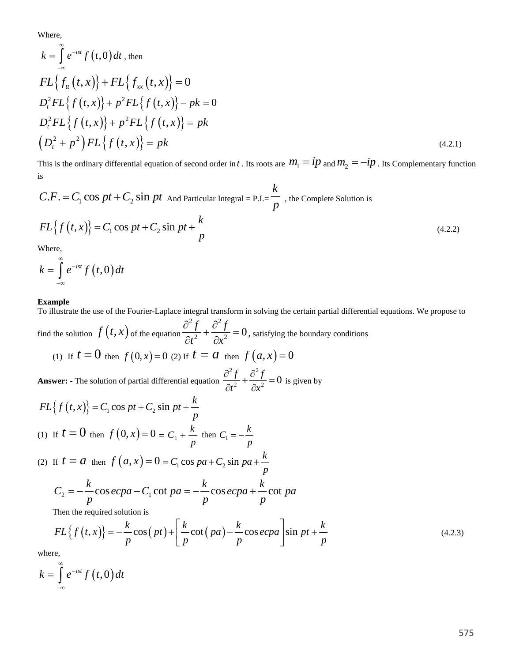Where,

$$
k = \int_{-\infty}^{\infty} e^{-ist} f(t,0) dt, \text{ then}
$$
  
\n
$$
FL\{f_{tt}(t,x)\} + FL\{f_{xx}(t,x)\} = 0
$$
  
\n
$$
D_t^2 FL\{f(t,x)\} + p^2 FL\{f(t,x)\} - pk = 0
$$
  
\n
$$
D_t^2 FL\{f(t,x)\} + p^2 FL\{f(t,x)\} = pk
$$
  
\n
$$
(D_t^2 + p^2) FL\{f(t,x)\} = pk
$$
 (4.2.1)

This is the ordinary differential equation of second order in *t*. Its roots are  $m_1 = ip$  and  $m_2 = -ip$ . Its Complementary function is

$$
C.F. = C_1 \cos pt + C_2 \sin pt
$$
 And Particular Integral = P.I. =  $\frac{k}{p}$ , the Complete Solution is  

$$
FL{f(t, x)} = C_1 \cos pt + C_2 \sin pt + \frac{k}{p}
$$
(4.2.2)

Where,

$$
k=\int\limits_{-\infty}^{\infty}e^{-ist}f\left(t,0\right)dt
$$

#### **Example**

To illustrate the use of the Fourier-Laplace integral transform in solving the certain partial differential equations. We propose to find the solution  $f(t, x)$  of the equation  $\frac{\partial^2 f}{\partial t^2} + \frac{\partial^2 f}{\partial x^2} = 0$  $\partial^2 f$  ,  $\partial$  $\frac{\partial^2 J}{\partial t^2} + \frac{\partial^2 J}{\partial x^2} = 0$ , satisfying the boundary conditions

(1) If 
$$
t = 0
$$
 then  $f(0, x) = 0$  (2) If  $t = a$  then  $f(a, x) = 0$ 

**Answer: -** The solution of partial differential equation  $\frac{\partial^2 f}{\partial t^2} + \frac{\partial^2 f}{\partial x^2} = 0$  $\frac{\partial^2 f}{\partial t^2} + \frac{\partial^2 f}{\partial x^2} = 0$  is given by

$$
FL{f(t,x)} = C_1 \cos pt + C_2 \sin pt + \frac{k}{p}
$$
  
(1) If  $t = 0$  then  $f(0, x) = 0 = C_1 + \frac{k}{p}$  then  $C_1 = -\frac{k}{p}$ 

(2) If 
$$
t = a
$$
 then  $f(a, x) = 0 = C_1 \cos pa + C_2 \sin pa + \frac{k}{p}$ 

$$
C_2 = -\frac{k}{p}\cos ecpa - C_1 \cot pa = -\frac{k}{p}\cos ecpa + \frac{k}{p}\cot pa
$$

Then the required solution is

$$
FL{f(t,x)} = -\frac{k}{p}\cos(pt) + \left[\frac{k}{p}\cot(pa) - \frac{k}{p}\cos ecpa\right] \sin pt + \frac{k}{p}
$$
\n(4.2.3)

where,

$$
k=\int\limits_{-\infty}^{\infty}e^{-ist}f\left(t,0\right)dt
$$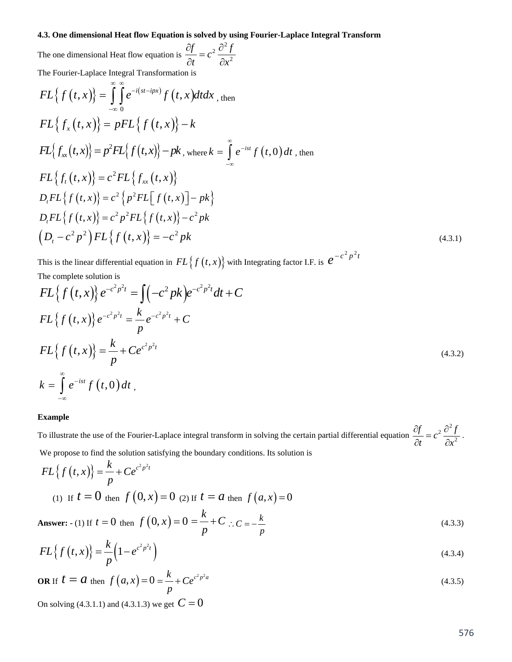### **4.3. One dimensional Heat flow Equation is solved by using Fourier-Laplace Integral Transform**

The one dimensional Heat flow equation is 
$$
\frac{\partial f}{\partial t} = c^2 \frac{\partial^2 f}{\partial x^2}
$$
  
\nThe Fourier-Laplace Integral Transformation is  
\n
$$
FL\{f(t, x)\} = \int_{-\infty}^{\infty} \int_{0}^{\infty} e^{-i(s-ipx)} f(t, x) dt dx
$$
, then  
\n
$$
FL\{f_x(t, x)\} = pFL\{f(t, x)\} - k
$$
\n
$$
FL\{f_{xx}(t, x)\} = p^2 FL\{f(t, x)\} - pk
$$
, where  $k = \int_{-\infty}^{\infty} e^{-ist} f(t, 0) dt$ , then  
\n
$$
FL\{f_t(t, x)\} = c^2 FL\{f_{xx}(t, x)\}
$$
\n
$$
D_{t}FL\{f(t, x)\} = c^2 \{p^2 FL\{f(t, x)\} - pk\}
$$
\n
$$
D_{t}FL\{f(t, x)\} = c^2 p^2 FL\{f(t, x)\} - c^2 pk
$$
\n
$$
(A.3.1)
$$

This is the linear differential equation in  $FL\{f(t,x)\}\$  with Integrating factor I.F. is  $e^{-c^2 p^2 t}$ 

The complete solution is

$$
FL{f(t,x)}e^{-c^2p^2t} = \int (-c^2pk)e^{-c^2p^2t}dt + C
$$
  
\n
$$
FL{f(t,x)}e^{-c^2p^2t} = \frac{k}{p}e^{-c^2p^2t} + C
$$
  
\n
$$
FL{f(t,x)} = \frac{k}{p} + Ce^{c^2p^2t}
$$
  
\n
$$
k = \int_{-\infty}^{\infty} e^{-ist}f(t,0)dt,
$$
\n(4.3.2)

#### **Example**

To illustrate the use of the Fourier-Laplace integral transform in solving the certain partial differential equation  $2\hat{\sigma}^2$  $\frac{f}{dt} = c^2 \frac{\partial^2 f}{\partial x^2}$  $\frac{\partial f}{\partial t} = c^2 \frac{\partial^2 f}{\partial x^2}$ . We propose to find the solution satisfying the boundary conditions. Its solution is

$$
FL{f(t,x)} = \frac{k}{p} + Ce^{c^2 p^2 t}
$$
  
(1) If  $t = 0$  then  $f(0, x) = 0$  (2) If  $t = a$  then  $f(a, x) = 0$ 

Answer: - (1) If 
$$
t = 0
$$
 then  $f(0, x) = 0 = \frac{k}{p} + C$  :  $C = -\frac{k}{p}$  (4.3.3)

$$
FL{f(t,x)} = \frac{k}{p} \left(1 - e^{c^2 p^2 t}\right)
$$
\n(4.3.4)

**OR** If 
$$
t = a
$$
 then  $f(a, x) = 0 = \frac{k}{p} + Ce^{c^2 p^2 a}$  (4.3.5)

On solving (4.3.1.1) and (4.3.1.3) we get  $C = 0$